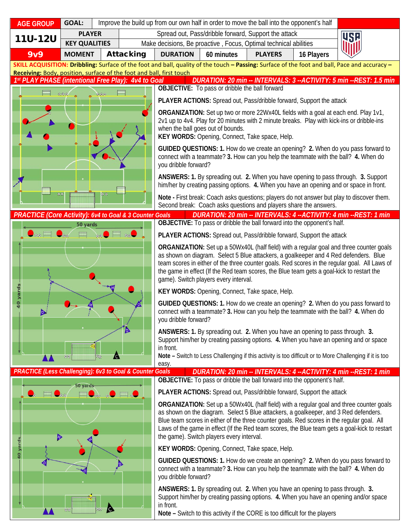| <b>AGE GROUP</b>                                                                                                                                                                                                      | <b>GOAL:</b>         |                            | Improve the build up from our own half in order to move the ball into the opponent's half                                                                                                                                                                                                                                   |                                                                                                                                                |                                                                  |                                                                                                                                                              |            |                                                                                                                                                                                             |  |
|-----------------------------------------------------------------------------------------------------------------------------------------------------------------------------------------------------------------------|----------------------|----------------------------|-----------------------------------------------------------------------------------------------------------------------------------------------------------------------------------------------------------------------------------------------------------------------------------------------------------------------------|------------------------------------------------------------------------------------------------------------------------------------------------|------------------------------------------------------------------|--------------------------------------------------------------------------------------------------------------------------------------------------------------|------------|---------------------------------------------------------------------------------------------------------------------------------------------------------------------------------------------|--|
| <b>11U-12U</b>                                                                                                                                                                                                        | <b>PLAYER</b>        |                            | Spread out, Pass/dribble forward, Support the attack                                                                                                                                                                                                                                                                        |                                                                                                                                                |                                                                  |                                                                                                                                                              | <b>USE</b> |                                                                                                                                                                                             |  |
|                                                                                                                                                                                                                       | <b>KEY QUALITIES</b> |                            |                                                                                                                                                                                                                                                                                                                             |                                                                                                                                                | Make decisions, Be proactive, Focus, Optimal technical abilities |                                                                                                                                                              |            |                                                                                                                                                                                             |  |
| <b>9v9</b>                                                                                                                                                                                                            | <b>MOMENT</b>        |                            | <b>Attacking</b>                                                                                                                                                                                                                                                                                                            | <b>DURATION</b>                                                                                                                                | 60 minutes                                                       | <b>PLAYERS</b>                                                                                                                                               | 16 Players |                                                                                                                                                                                             |  |
| SKILL ACQUISITION: Dribbling: Surface of the foot and ball, quality of the touch - Passing: Surface of the foot and ball, Pace and accuracy -<br>Receiving: Body, position, surface of the foot and ball, first touch |                      |                            |                                                                                                                                                                                                                                                                                                                             |                                                                                                                                                |                                                                  |                                                                                                                                                              |            |                                                                                                                                                                                             |  |
| DURATION: 20 min -- INTERVALS: 3 -- ACTIVITY: 5 min -- REST: 1.5 min<br>1st PLAY PHASE (intentional Free Play): 4v4 to Goal                                                                                           |                      |                            |                                                                                                                                                                                                                                                                                                                             |                                                                                                                                                |                                                                  |                                                                                                                                                              |            |                                                                                                                                                                                             |  |
|                                                                                                                                                                                                                       | $-0.066$             |                            |                                                                                                                                                                                                                                                                                                                             | <b>OBJECTIVE:</b> To pass or dribble the ball forward                                                                                          |                                                                  |                                                                                                                                                              |            |                                                                                                                                                                                             |  |
|                                                                                                                                                                                                                       |                      |                            | PLAYER ACTIONS: Spread out, Pass/dribble forward, Support the attack                                                                                                                                                                                                                                                        |                                                                                                                                                |                                                                  |                                                                                                                                                              |            |                                                                                                                                                                                             |  |
|                                                                                                                                                                                                                       |                      |                            | ORGANIZATION: Set up two or more 22Wx40L fields with a goal at each end. Play 1v1,<br>2v1 up to 4v4. Play for 20 minutes with 2 minute breaks. Play with kick-ins or dribble-ins<br>when the ball goes out of bounds.<br>KEY WORDS: Opening, Connect, Take space, Help.                                                     |                                                                                                                                                |                                                                  |                                                                                                                                                              |            |                                                                                                                                                                                             |  |
|                                                                                                                                                                                                                       |                      |                            |                                                                                                                                                                                                                                                                                                                             | you dribble forward?                                                                                                                           |                                                                  |                                                                                                                                                              |            | GUIDED QUESTIONS: 1. How do we create an opening? 2. When do you pass forward to<br>connect with a teammate? 3. How can you help the teammate with the ball? 4. When do                     |  |
| 00                                                                                                                                                                                                                    |                      |                            | ANSWERS: 1. By spreading out. 2. When you have opening to pass through. 3. Support<br>him/her by creating passing options. 4. When you have an opening and or space in front.                                                                                                                                               |                                                                                                                                                |                                                                  |                                                                                                                                                              |            |                                                                                                                                                                                             |  |
|                                                                                                                                                                                                                       |                      |                            | Note - First break: Coach asks questions; players do not answer but play to discover them.<br>Second break: Coach asks questions and players share the answers.                                                                                                                                                             |                                                                                                                                                |                                                                  |                                                                                                                                                              |            |                                                                                                                                                                                             |  |
| PRACTICE (Core Activity): 6v4 to Goal & 3 Counter Goals                                                                                                                                                               |                      |                            |                                                                                                                                                                                                                                                                                                                             | DURATION: 20 min -- INTERVALS: 4 -- ACTIVITY: 4 min -- REST: 1 min<br>OBJECTIVE: To pass or dribble the ball forward into the opponent's half. |                                                                  |                                                                                                                                                              |            |                                                                                                                                                                                             |  |
| أنقطه                                                                                                                                                                                                                 | 50 yards             | $\lambda$                  | $\bullet$ $\blacksquare$ :: $\bullet$                                                                                                                                                                                                                                                                                       |                                                                                                                                                |                                                                  |                                                                                                                                                              |            |                                                                                                                                                                                             |  |
|                                                                                                                                                                                                                       |                      |                            | PLAYER ACTIONS: Spread out, Pass/dribble forward, Support the attack<br>ORGANIZATION: Set up a 50Wx40L (half field) with a regular goal and three counter goals                                                                                                                                                             |                                                                                                                                                |                                                                  |                                                                                                                                                              |            |                                                                                                                                                                                             |  |
|                                                                                                                                                                                                                       |                      |                            | as shown on diagram. Select 5 Blue attackers, a goalkeeper and 4 Red defenders. Blue<br>team scores in either of the three counter goals. Red scores in the regular goal. All Laws of<br>the game in effect (If the Red team scores, the Blue team gets a goal-kick to restart the<br>game). Switch players every interval. |                                                                                                                                                |                                                                  |                                                                                                                                                              |            |                                                                                                                                                                                             |  |
|                                                                                                                                                                                                                       |                      |                            | KEY WORDS: Opening, Connect, Take space, Help.                                                                                                                                                                                                                                                                              |                                                                                                                                                |                                                                  |                                                                                                                                                              |            |                                                                                                                                                                                             |  |
| 40 yard                                                                                                                                                                                                               |                      |                            | GUIDED QUESTIONS: 1. How do we create an opening? 2. When do you pass forward to<br>connect with a teammate? 3. How can you help the teammate with the ball? 4. When do<br>you dribble forward?                                                                                                                             |                                                                                                                                                |                                                                  |                                                                                                                                                              |            |                                                                                                                                                                                             |  |
|                                                                                                                                                                                                                       | $G_k$                |                            |                                                                                                                                                                                                                                                                                                                             | in front.                                                                                                                                      |                                                                  | ANSWERS: 1. By spreading out. 2. When you have an opening to pass through. 3.                                                                                |            | Support him/her by creating passing options. 4. When you have an opening and or space                                                                                                       |  |
|                                                                                                                                                                                                                       | 安全                   | $\bullet$<br>$\Phi_{\Phi}$ |                                                                                                                                                                                                                                                                                                                             | easy.                                                                                                                                          |                                                                  |                                                                                                                                                              |            | Note - Switch to Less Challenging if this activity is too difficult or to More Challenging if it is too                                                                                     |  |
| PRACTICE (Less Challenging): 6v3 to Goal & Counter Goals                                                                                                                                                              |                      |                            |                                                                                                                                                                                                                                                                                                                             |                                                                                                                                                |                                                                  |                                                                                                                                                              |            | DURATION: 20 min -- INTERVALS: 4 -- ACTIVITY: 4 min -- REST: 1 min                                                                                                                          |  |
|                                                                                                                                                                                                                       | 50 yards             |                            | $\Box$                                                                                                                                                                                                                                                                                                                      |                                                                                                                                                |                                                                  | OBJECTIVE: To pass or dribble the ball forward into the opponent's half.<br>PLAYER ACTIONS: Spread out, Pass/dribble forward, Support the attack             |            |                                                                                                                                                                                             |  |
|                                                                                                                                                                                                                       |                      |                            |                                                                                                                                                                                                                                                                                                                             |                                                                                                                                                |                                                                  |                                                                                                                                                              |            | <b>ORGANIZATION:</b> Set up a 50Wx40L (half field) with a regular goal and three counter goals                                                                                              |  |
|                                                                                                                                                                                                                       |                      |                            |                                                                                                                                                                                                                                                                                                                             |                                                                                                                                                | the game). Switch players every interval.                        | as shown on the diagram. Select 5 Blue attackers, a goalkeeper, and 3 Red defenders.                                                                         |            | Blue team scores in either of the three counter goals. Red scores in the regular goal. All<br>Laws of the game in effect (If the Red team scores, the Blue team gets a goal-kick to restart |  |
| 40 yards                                                                                                                                                                                                              |                      |                            | KEY WORDS: Opening, Connect, Take space, Help.                                                                                                                                                                                                                                                                              |                                                                                                                                                |                                                                  |                                                                                                                                                              |            |                                                                                                                                                                                             |  |
|                                                                                                                                                                                                                       |                      |                            |                                                                                                                                                                                                                                                                                                                             | you dribble forward?                                                                                                                           |                                                                  |                                                                                                                                                              |            | GUIDED QUESTIONS: 1. How do we create an opening? 2. When do you pass forward to<br>connect with a teammate? 3. How can you help the teammate with the ball? 4. When do                     |  |
|                                                                                                                                                                                                                       | 安安                   | ß                          |                                                                                                                                                                                                                                                                                                                             | in front.                                                                                                                                      |                                                                  | ANSWERS: 1. By spreading out. 2. When you have an opening to pass through. 3.<br>Note - Switch to this activity if the CORE is too difficult for the players |            | Support him/her by creating passing options. 4. When you have an opening and/or space                                                                                                       |  |